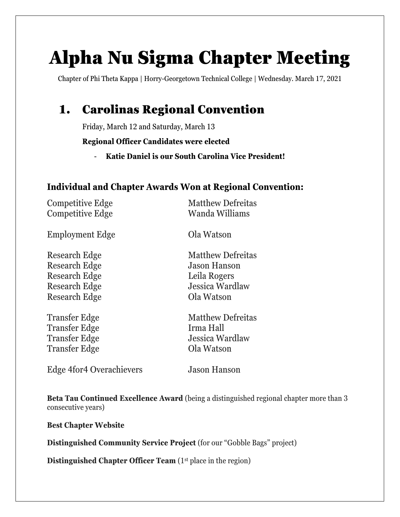# Alpha Nu Sigma Chapter Meeting

Chapter of Phi Theta Kappa | Horry-Georgetown Technical College | Wednesday. March 17, 2021

## 1. Carolinas Regional Convention

Friday, March 12 and Saturday, March 13

**Regional Officer Candidates were elected**

- **Katie Daniel is our South Carolina Vice President!**

#### **Individual and Chapter Awards Won at Regional Convention:**

Competitive Edge Matthew Defreitas Competitive Edge Wanda Williams

Employment Edge Ola Watson

Research Edge Jason Hanson Research Edge Leila Rogers Research Edge Ola Watson

Transfer Edge Irma Hall Transfer Edge **Ola Watson** 

Research Edge Matthew Defreitas Research Edge Jessica Wardlaw

Transfer Edge Matthew Defreitas Transfer Edge Jessica Wardlaw

Edge 4for4 Overachievers Jason Hanson

**Beta Tau Continued Excellence Award** (being a distinguished regional chapter more than 3 consecutive years)

**Best Chapter Website**

**Distinguished Community Service Project** (for our "Gobble Bags" project)

**Distinguished Chapter Officer Team** (1<sup>st</sup> place in the region)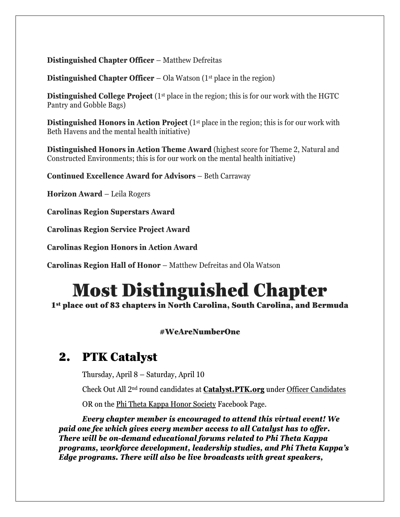#### **Distinguished Chapter Officer** – Matthew Defreitas

**Distinguished Chapter Officer** – Ola Watson (1<sup>st</sup> place in the region)

**Distinguished College Project** (1<sup>st</sup> place in the region; this is for our work with the HGTC Pantry and Gobble Bags)

**Distinguished Honors in Action Project** (1<sup>st</sup> place in the region; this is for our work with Beth Havens and the mental health initiative)

**Distinguished Honors in Action Theme Award** (highest score for Theme 2, Natural and Constructed Environments; this is for our work on the mental health initiative)

**Continued Excellence Award for Advisors** – Beth Carraway

**Horizon Award** – Leila Rogers

**Carolinas Region Superstars Award**

**Carolinas Region Service Project Award**

**Carolinas Region Honors in Action Award**

**Carolinas Region Hall of Honor** – Matthew Defreitas and Ola Watson

# Most Distinguished Chapter

1<sup>st</sup> place out of 83 chapters in North Carolina, South Carolina, and Bermuda

#### #WeAreNumberOne

#### 2. PTK Catalyst

Thursday, April 8 – Saturday, April 10

Check Out All 2nd round candidates at **Catalyst.PTK.org** under Officer Candidates

OR on the Phi Theta Kappa Honor Society Facebook Page.

*Every chapter member is encouraged to attend this virtual event! We paid one fee which gives every member access to all Catalyst has to offer. There will be on-demand educational forums related to Phi Theta Kappa programs, workforce development, leadership studies, and Phi Theta Kappa's Edge programs. There will also be live broadcasts with great speakers,*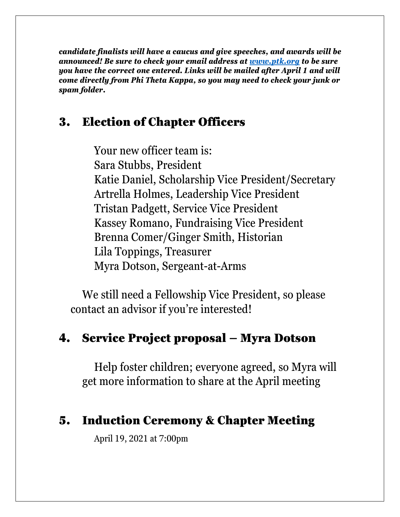*candidate finalists will have a caucus and give speeches, and awards will be announced! Be sure to check your email address at [www.ptk.org](http://www.ptk.org/) to be sure you have the correct one entered. Links will be mailed after April 1 and will come directly from Phi Theta Kappa, so you may need to check your junk or spam folder.*

## 3. Election of Chapter Officers

Your new officer team is: Sara Stubbs, President Katie Daniel, Scholarship Vice President/Secretary Artrella Holmes, Leadership Vice President Tristan Padgett, Service Vice President Kassey Romano, Fundraising Vice President Brenna Comer/Ginger Smith, Historian Lila Toppings, Treasurer Myra Dotson, Sergeant-at-Arms

We still need a Fellowship Vice President, so please contact an advisor if you're interested!

## 4. Service Project proposal – Myra Dotson

Help foster children; everyone agreed, so Myra will get more information to share at the April meeting

### 5. Induction Ceremony & Chapter Meeting

April 19, 2021 at 7:00pm